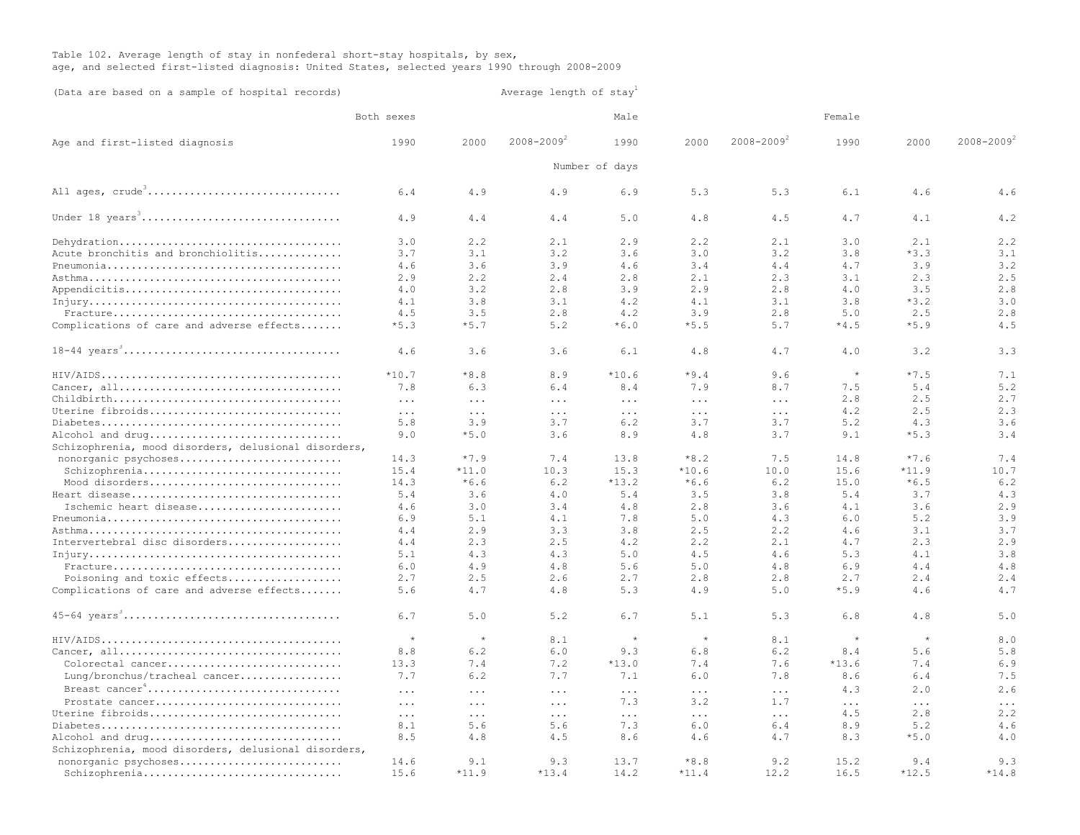## Table 102. Average length of stay in nonfederal short-stay hospitals, by sex, age, and selected first-listed diagnosis: United States, selected years 1990 through 2008-2009

| (Data are based on a sample of hospital records)                         |            |                         | Average length of stay  |                |                      |                 |                      |                         |                 |  |
|--------------------------------------------------------------------------|------------|-------------------------|-------------------------|----------------|----------------------|-----------------|----------------------|-------------------------|-----------------|--|
|                                                                          | Both sexes |                         | Male                    |                |                      |                 | Female               |                         |                 |  |
| Age and first-listed diagnosis                                           | 1990       | 2000                    | $2008 - 2009^2$         | 1990           | 2000                 | $2008 - 2009^2$ | 1990                 | 2000                    | $2008 - 2009^2$ |  |
|                                                                          |            |                         |                         | Number of days |                      |                 |                      |                         |                 |  |
| All ages, crude <sup>3</sup>                                             | 6.4        | 4.9                     | 4.9                     | 6.9            | 5.3                  | 5.3             | 6.1                  | 4.6                     | 4.6             |  |
|                                                                          | 4.9        | 4.4                     | 4.4                     | 5.0            | 4.8                  | 4.5             | 4.7                  | 4.1                     | 4.2             |  |
| Dehydration                                                              | 3.0        | 2, 2                    | 2.1                     | 2.9            | 2.2                  | 2.1             | 3.0                  | 2.1                     | 2.2             |  |
| Acute bronchitis and bronchiolitis                                       | 3.7        | 3.1                     | 3.2                     | 3.6            | 3.0                  | 3.2             | 3.8                  | $*3.3$                  | 3.1             |  |
|                                                                          | 4.6        | 3.6                     | 3.9                     | 4.6            | 3.4                  | 4.4             | 4.7                  | 3.9                     | 3.2             |  |
|                                                                          | 2.9        | 2.2                     | 2.4                     | 2.8            | 2.1                  | 2.3             | 3.1                  | 2.3                     | 2.5             |  |
|                                                                          | 4.0        | 3.2                     | 2.8                     | 3.9            | 2.9                  | 2.8             | 4.0                  | 3.5                     | 2.8             |  |
|                                                                          | 4.1        | 3.8                     | 3.1                     | 4.2            | 4.1                  | 3.1             | 3.8                  | $*3.2$                  | 3.0             |  |
|                                                                          |            |                         |                         |                |                      |                 |                      |                         |                 |  |
|                                                                          | 4.5        | 3.5                     | 2.8                     | 4.2            | 3.9                  | 2.8             | 5.0                  | 2.5                     | 2.8             |  |
| Complications of care and adverse effects                                | $*5.3$     | $*5.7$                  | 5.2                     | $*6.0$         | $*5.5$               | 5.7             | $*4.5$               | $*5.9$                  | 4.5             |  |
|                                                                          | 4.6        | 3.6                     | 3.6                     | 6.1            | 4.8                  | 4.7             | 4.0                  | 3.2                     | 3.3             |  |
|                                                                          | $*10.7$    | $*8.8$                  | 8.9                     | $*10.6$        | $*9.4$               | 9.6             | $\star$              | $*7.5$                  | 7.1             |  |
|                                                                          | 7.8        | 6.3                     |                         | 8.4            | 7.9                  | 8.7             | 7.5                  | 5.4                     | 5.2             |  |
|                                                                          |            |                         | 6.4                     |                |                      |                 |                      | 2.5                     | 2.7             |  |
|                                                                          | $\ddots$   | $\cdots$                | $\ddots$                | $\ddots$       | $\sim$ $\sim$ $\sim$ | $\ddots$        | 2.8                  |                         |                 |  |
| Uterine fibroids                                                         | $\ldots$   | $\ldots$                | $\cdot$ $\cdot$ $\cdot$ | $\cdots$       | $\ldots$ .           | $\ldots$ .      | 4.2                  | 2.5                     | 2.3             |  |
|                                                                          | 5.8        | 3.9                     | 3.7                     | 6.2            | 3.7                  | 3.7             | 5.2                  | 4.3                     | 3.6             |  |
| Alcohol and drug<br>Schizophrenia, mood disorders, delusional disorders, | 9.0        | $*5.0$                  | 3.6                     | 8.9            | 4.8                  | 3.7             | 9.1                  | $*5.3$                  | 3.4             |  |
| nonorganic psychoses                                                     | 14.3       | $*7.9$                  | 7.4                     | 13.8           | $*8.2$               | 7.5             | 14.8                 | $*7.6$                  | 7.4             |  |
| Schizophrenia                                                            | 15.4       | $*11.0$                 | 10.3                    | 15.3           | $*10.6$              | 10.0            | 15.6                 | $*11.9$                 | 10.7            |  |
| Mood disorders                                                           | 14.3       | $*6.6$                  | 6.2                     | $*13.2$        | $*6.6$               | 6.2             | 15.0                 | $*6.5$                  | 6.2             |  |
|                                                                          | 5.4        | 3.6                     | 4.0                     | 5.4            | 3.5                  | 3.8             | 5.4                  | 3.7                     | 4.3             |  |
| Ischemic heart disease                                                   | 4.6        | 3.0                     | 3.4                     | 4.8            | 2.8                  | 3.6             | 4.1                  | 3.6                     | 2.9             |  |
|                                                                          | 6.9        | 5.1                     | 4.1                     | 7.8            | 5.0                  | 4.3             | 6.0                  | 5.2                     | 3.9             |  |
|                                                                          |            |                         |                         |                |                      |                 |                      |                         | 3.7             |  |
|                                                                          | 4.4        | 2.9                     | 3.3                     | 3.8            | 2.5                  | 2.2             | 4.6                  | 3.1                     |                 |  |
| Intervertebral disc disorders                                            | 4.4        | 2.3                     | 2.5                     | 4.2            | 2.2                  | 2.1             | 4.7                  | 2.3                     | 2.9             |  |
|                                                                          | 5.1        | 4.3                     | 4.3                     | 5.0            | 4.5                  | 4.6             | 5.3                  | 4.1                     | 3.8             |  |
|                                                                          | 6.0        | 4.9                     | 4.8                     | 5.6            | 5.0                  | 4.8             | 6.9                  | 4.4                     | 4.8             |  |
| Poisoning and toxic effects                                              | 2.7        | 2.5                     | 2.6                     | 2.7            | 2.8                  | 2.8             | 2.7                  | 2.4                     | 2.4             |  |
| Complications of care and adverse effects                                | 5.6        | 4.7                     | 4.8                     | 5.3            | 4.9                  | 5.0             | $*5.9$               | 4.6                     | 4.7             |  |
|                                                                          | 6.7        | 5.0                     | 5.2                     | 6.7            | 5.1                  | 5.3             | 6.8                  | 4.8                     | 5.0             |  |
|                                                                          | $\star$    | $\star$                 | 8.1                     | $\star$        | $\star$              | 8.1             | $\star$              | $\star$                 | 8.0             |  |
|                                                                          | 8.8        | 6.2                     | 6.0                     | 9.3            | 6.8                  | 6.2             | 8.4                  | 5.6                     | 5.8             |  |
| Colorectal cancer                                                        | 13.3       | 7.4                     | 7.2                     | $*13.0$        | 7.4                  | 7.6             | $*13.6$              | 7.4                     | 6.9             |  |
| Lung/bronchus/tracheal cancer                                            | 7.7        | 6.2                     | 7.7                     | 7.1            | 6.0                  | 7.8             | 8.6                  | 6.4                     | 7.5             |  |
| Breast cancer <sup>4</sup>                                               | $\ddots$   | $\cdot$ $\cdot$ $\cdot$ | $\ldots$                | $\ldots$ .     | $\ldots$ .           | $\ldots$ .      | 4.3                  | 2.0                     | 2.6             |  |
| Prostate cancer                                                          | $\cdots$   | $\ldots$                | $\ddots$                | 7.3            | 3.2                  | 1.7             | $\sim$ $\sim$ $\sim$ | $\cdot$ $\cdot$ $\cdot$ | $\ddots$ .      |  |
| Uterine fibroids                                                         | $\cdots$   | $\cdots$                | $\cdot$ $\cdot$ $\cdot$ | $\cdot$        | $\cdots$             | $\ldots$ .      | 4.5                  | 2.8                     | 2, 2            |  |
|                                                                          | 8.1        | 5.6                     | 5.6                     | 7.3            | 6.0                  | 6.4             | 8.9                  | 5.2                     | 4.6             |  |
| Alcohol and drug<br>Schizophrenia, mood disorders, delusional disorders, | 8.5        | 4.8                     | 4.5                     | 8.6            | 4.6                  | 4.7             | 8.3                  | $*5.0$                  | 4.0             |  |
| nonorganic psychoses                                                     | 14.6       | 9.1                     | 9.3                     | 13.7           | $*8.8$               | 9.2             | 15.2                 | 9.4                     | 9.3             |  |
| Schizophrenia                                                            | 15.6       | $*11.9$                 | $*13.4$                 | 14.2           | $*11.4$              | 12.2            | 16.5                 | $*12.5$                 | $*14.8$         |  |
|                                                                          |            |                         |                         |                |                      |                 |                      |                         |                 |  |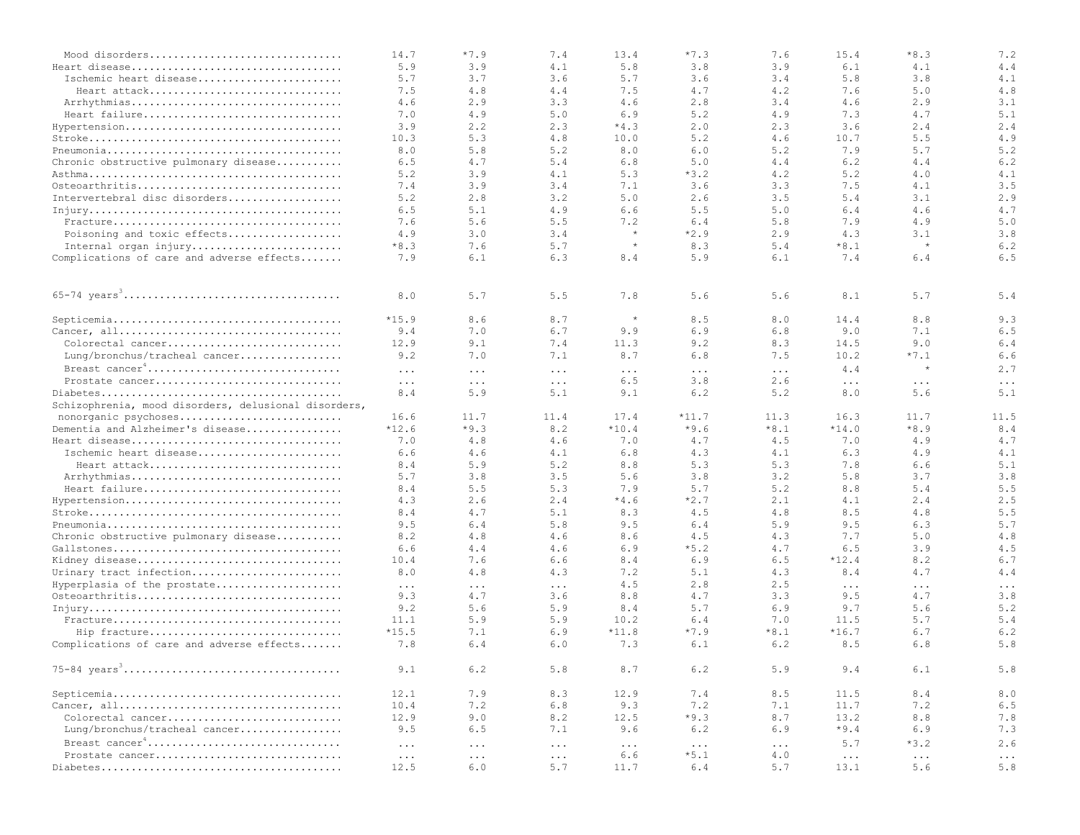| Mood disorders                                       | 14.7                         | $*7.9$          | 7.4             | 13.4                        | $*7.3$                         | 7.6                  | 15.4                         | $*8.3$            | 7.2             |
|------------------------------------------------------|------------------------------|-----------------|-----------------|-----------------------------|--------------------------------|----------------------|------------------------------|-------------------|-----------------|
|                                                      | 5.9                          | 3.9             | 4.1             | 5.8                         | 3.8                            | 3.9                  | 6.1                          | 4.1               | 4.4             |
| Ischemic heart disease                               | 5.7                          | 3.7             | 3.6             | 5.7                         | 3.6                            | 3.4                  | 5.8                          | 3.8               | 4.1             |
| Heart attack                                         | 7.5                          | 4.8             | 4.4             | 7.5                         | 4.7                            | 4.2                  | 7.6                          | 5.0               | 4.8             |
| Arrhythmias                                          | 4.6                          | 2.9             | 3.3             | 4.6                         | 2.8                            | 3.4                  | 4.6                          | 2.9               | 3.1             |
| Heart failure                                        | 7.0                          | 4.9             | 5.0             | 6.9                         | 5.2                            | 4.9                  | 7.3                          | 4.7               | 5.1             |
|                                                      | 3.9                          | 2.2             | 2.3             | $*4.3$                      | 2.0                            | 2.3                  | 3.6                          | 2.4               | 2.4             |
|                                                      | 10.3                         | 5.3             | 4.8             | 10.0                        | 5.2                            | 4.6                  | 10.7                         | 5.5               | 4.9             |
|                                                      | 8.0                          | 5.8             | 5.2             |                             | 6.0                            | 5.2                  | 7.9                          | 5.7               | 5.2             |
|                                                      |                              |                 |                 | 8.0                         |                                |                      |                              |                   |                 |
| Chronic obstructive pulmonary disease                | 6.5                          | 4.7             | 5.4             | 6.8                         | 5.0                            | 4.4                  | 6.2                          | 4.4               | 6.2             |
|                                                      | 5.2                          | 3.9             | 4.1             | 5.3                         | $*3.2$                         | 4.2                  | 5.2                          | 4.0               | 4.1             |
| Osteoarthritis                                       | 7.4                          | 3.9             | 3.4             | 7.1                         | 3.6                            | 3.3                  | 7.5                          | 4.1               | 3.5             |
| Intervertebral disc disorders                        | 5.2                          | 2.8             | 3.2             | 5.0                         | 2.6                            | 3.5                  | 5.4                          | 3.1               | 2.9             |
|                                                      | 6.5                          | 5.1             | 4.9             | 6.6                         | 5.5                            | 5.0                  | 6.4                          | 4.6               | 4.7             |
|                                                      | 7.6                          | 5.6             | 5.5             | 7.2                         | 6.4                            | 5.8                  | 7.9                          | 4.9               | 5.0             |
| Poisoning and toxic effects                          | 4.9                          | 3.0             | 3.4             | $\star$                     | $*2.9$                         | 2.9                  | 4.3                          | 3.1               | 3.8             |
| Internal organ injury                                | $*8.3$                       | 7.6             | 5.7             | $\star$                     | 8.3                            | 5.4                  | *8.1                         | $\star$           | 6.2             |
| Complications of care and adverse effects            | 7.9                          | 6.1             | 6.3             | 8.4                         | 5.9                            | 6.1                  | 7.4                          | 6.4               | 6.5             |
|                                                      | 8.0                          | 5.7             | 5.5             | 7.8                         | 5.6                            | 5.6                  | 8.1                          | 5.7               | 5.4             |
|                                                      |                              |                 |                 |                             |                                |                      |                              |                   |                 |
|                                                      | $*15.9$                      | 8.6             | 8.7             | $\star$                     | 8.5                            | 8.0                  | 14.4                         | 8.8               | 9.3             |
|                                                      | 9.4                          | 7.0             | 6.7             | 9.9                         | 6.9                            | 6.8                  | 9.0                          | 7.1               | 6.5             |
| Colorectal cancer                                    | 12.9                         | 9.1             | 7.4             | 11.3                        | 9.2                            | 8.3                  | 14.5                         | 9.0               | 6.4             |
| Lung/bronchus/tracheal cancer                        | 9.2                          | 7.0             | 7.1             | 8.7                         | 6.8                            | 7.5                  | 10.2                         | $*7.1$            | 6.6             |
| Breast cancer <sup>4</sup>                           | $\ldots$ .                   | $\cdots$        | $\cdots$        | $\cdots$                    | $\sim$ $\sim$ $\sim$           | $\sim$ $\sim$ $\sim$ | 4.4                          | $\star$           | 2.7             |
| Prostate cancer                                      | $\ldots$ .                   | $\cdots$        | $\ldots$        | 6.5                         | 3.8                            | 2.6                  | $\ldots$                     | $\cdots$          | $\ddots$        |
|                                                      | 8.4                          | 5.9             | 5.1             | 9.1                         | 6.2                            | 5.2                  | 8.0                          | 5.6               | 5.1             |
| Schizophrenia, mood disorders, delusional disorders, |                              |                 |                 |                             |                                |                      |                              |                   |                 |
| nonorganic psychoses                                 | 16.6                         | 11.7            | 11.4            | 17.4                        | $*11.7$                        | 11.3                 | 16.3                         | 11.7              | 11.5            |
| Dementia and Alzheimer's disease                     | $*12.6$                      | $*9.3$          | 8.2             | $*10.4$                     | $*9.6$                         | $*8.1$               | $*14.0$                      | $*8.9$            | 8.4             |
|                                                      | 7.0                          | 4.8             | 4.6             | 7.0                         | 4.7                            | 4.5                  | 7.0                          | 4.9               | 4.7             |
| Ischemic heart disease                               | 6.6                          | 4.6             | 4.1             | 6.8                         | 4.3                            | 4.1                  | 6.3                          | 4.9               | 4.1             |
| Heart attack                                         | 8.4                          | 5.9             | 5.2             | 8.8                         | 5.3                            | 5.3                  | 7.8                          | 6.6               | 5.1             |
| Arrhythmias                                          | 5.7                          | 3.8             | 3.5             | 5.6                         | 3.8                            | 3.2                  | 5.8                          | 3.7               | 3.8             |
| Heart failure                                        | 8.4                          | 5.5             | 5.3             | 7.9                         | 5.7                            | 5.2                  | 8.8                          | 5.4               | 5.5             |
|                                                      |                              |                 |                 |                             |                                |                      |                              |                   |                 |
| Hypertension                                         | 4.3                          | 2.6             | 2.4             | $*4.6$                      | $*2.7$                         | 2.1                  | 4.1                          | 2.4               | 2.5             |
|                                                      | 8.4                          | 4.7             | 5.1             | 8.3                         | 4.5                            | 4.8                  | 8.5                          | 4.8               | 5.5             |
|                                                      | 9.5                          | 6.4             | 5.8             | 9.5                         | 6.4                            | 5.9                  | 9.5                          | 6.3               | 5.7             |
| Chronic obstructive pulmonary disease                | 8.2                          | 4.8             | 4.6             | 8.6                         | 4.5                            | 4.3                  | 7.7                          | 5.0               | 4.8             |
|                                                      | 6.6                          | 4.4             | 4.6             | 6.9                         | $*5.2$                         | 4.7                  | 6.5                          | 3.9               | 4.5             |
|                                                      | 10.4                         | 7.6             | 6.6             | 8.4                         | 6.9                            | 6.5                  | $*12.4$                      | 8.2               | 6.7             |
| Urinary tract infection                              | 8.0                          | 4.8             | 4.3             | 7.2                         | 5.1                            | 4.3                  | 8.4                          | 4.7               | 4.4             |
| Hyperplasia of the prostate                          | $\sim$ $\sim$ $\sim$         | $\cdots$        | $\cdots$        | 4.5                         | 2.8                            | 2.5                  | $\cdots$                     | $\cdots$          | $\ddots$        |
| Osteoarthritis                                       | 9.3                          | 4.7             | 3.6             | 8.8                         | 4.7                            | 3.3                  | 9.5                          | 4.7               | 3.8             |
|                                                      | 9.2                          | 5.6             | 5.9             | 8.4                         | 5.7                            | 6.9                  | 9.7                          | 5.6               | 5.2             |
|                                                      | 11.1                         | 5.9             | 5.9             | 10.2                        | 6.4                            | 7.0                  | 11.5                         | 5.7               | 5.4             |
| Hip fracture                                         | $*15.5$                      | 7.1             | 6.9             | $*11.8$                     | $*7.9$                         | $*8.1$               | $*16.7$                      | 6.7               | 6.2             |
| Complications of care and adverse effects            | 7.8                          | 6.4             | 6.0             | 7.3                         | 6.1                            | 6.2                  | 8.5                          | 6.8               | 5.8             |
|                                                      | 9.1                          | 6.2             | 5.8             | 8.7                         | 6.2                            | 5.9                  | 9.4                          | 6.1               | 5.8             |
|                                                      | 12.1                         | 7.9             | 8.3             | 12.9                        | 7.4                            | 8.5                  | 11.5                         | 8.4               | 8.0             |
|                                                      | 10.4                         | 7.2             | 6.8             | 9.3                         | 7.2                            | 7.1                  | 11.7                         | 7.2               | 6.5             |
| Colorectal cancer                                    | 12.9                         | 9.0             | 8.2             | 12.5                        | $*9.3$                         | 8.7                  | 13.2                         | 8.8               | 7.8             |
| Lung/bronchus/tracheal cancer                        | 9.5                          | 6.5             | 7.1             | 9.6                         | 6.2                            | 6.9                  | $*9.4$                       | 6.9               | 7.3             |
| Breast cancer <sup>4</sup>                           | $\cdots$                     |                 |                 |                             |                                |                      | 5.7                          | $*3.2$            | 2.6             |
| Prostate cancer                                      |                              | $\cdots$        | $\cdots$        | $\sim$ $\sim$ $\sim$<br>6.6 | $\sim$ $\sim$ $\sim$<br>$*5.1$ | $\ddots$<br>4.0      |                              |                   |                 |
|                                                      | $\sim$ $\sim$ $\sim$<br>12.5 | $\cdots$<br>6.0 | $\ddots$<br>5.7 | 11.7                        | 6.4                            | 5.7                  | $\sim$ $\sim$ $\sim$<br>13.1 | $\ldots$ .<br>5.6 | $\ddots$<br>5.8 |
|                                                      |                              |                 |                 |                             |                                |                      |                              |                   |                 |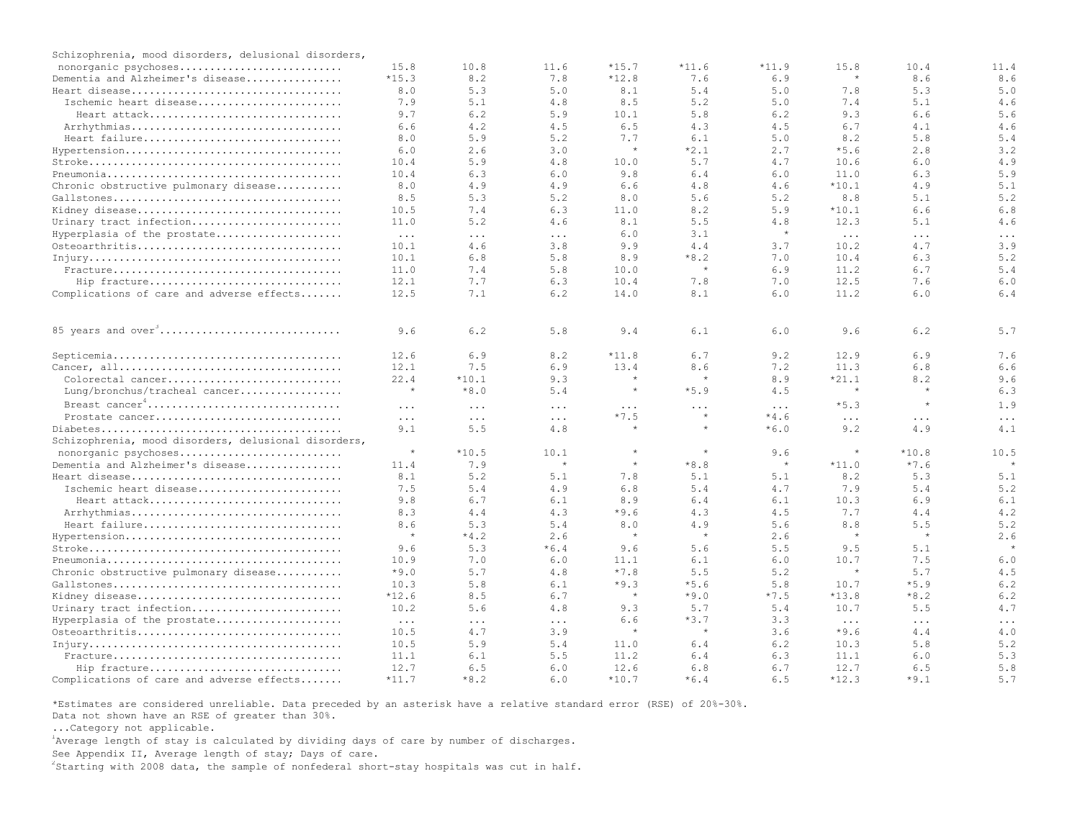| Schizophrenia, mood disorders, delusional disorders, |                      |                      |                      |          |          |          |                      |                      |            |
|------------------------------------------------------|----------------------|----------------------|----------------------|----------|----------|----------|----------------------|----------------------|------------|
| nonorganic psychoses                                 | 15.8                 | 10.8                 | 11.6                 | $*15.7$  | $*11.6$  | $*11.9$  | 15.8                 | 10.4                 | 11.4       |
| Dementia and Alzheimer's disease                     | $*15.3$              | 8.2                  | 7.8                  | $*12.8$  | 7.6      | 6.9      | $\star$              | 8.6                  | 8.6        |
|                                                      | 8.0                  | 5.3                  | 5.0                  | 8.1      | 5.4      | 5.0      | 7.8                  | 5.3                  | 5.0        |
| Ischemic heart disease                               | 7.9                  | 5.1                  | 4.8                  | 8.5      | 5.2      | 5.0      | 7.4                  | 5.1                  | 4.6        |
| Heart attack                                         | 9.7                  | 6.2                  | 5.9                  | 10.1     | 5.8      | 6.2      | 9.3                  | 6.6                  | 5.6        |
| Arrhythmias                                          | 6.6                  | 4.2                  | 4.5                  | 6.5      | 4.3      | 4.5      | 6.7                  | 4.1                  | 4.6        |
| Heart failure                                        | 8.0                  | 5.9                  | 5.2                  | 7.7      | 6.1      | 5.0      | 8.2                  | 5.8                  | 5.4        |
| Hypertension                                         | 6.0                  | 2.6                  | 3.0                  | $\star$  | $*2.1$   | 2.7      | $*5.6$               | 2.8                  | 3.2        |
|                                                      | 10.4                 | 5.9                  | 4.8                  | 10.0     | 5.7      | 4.7      | 10.6                 | 6.0                  | 4.9        |
|                                                      | 10.4                 | 6.3                  | 6.0                  | 9.8      | 6.4      | 6.0      | 11.0                 | 6.3                  | 5.9        |
|                                                      |                      | 4.9                  |                      |          | 4.8      |          |                      | 4.9                  | 5.1        |
| Chronic obstructive pulmonary disease                | 8.0                  |                      | 4.9                  | 6.6      |          | 4.6      | $*10.1$              |                      |            |
|                                                      | 8.5                  | 5.3                  | 5.2                  | 8.0      | 5.6      | 5.2      | 8.8                  | 5.1                  | 5.2        |
|                                                      | 10.5                 | 7.4                  | 6.3                  | 11.0     | 8.2      | 5.9      | $*10.1$              | 6.6                  | 6.8        |
| Urinary tract infection                              | 11.0                 | 5.2                  | 4.6                  | 8.1      | 5.5      | 4.8      | 12.3                 | 5.1                  | 4.6        |
| Hyperplasia of the prostate                          | $\cdot \cdot \cdot$  | $\sim$ $\sim$ $\sim$ | $\sim$ $\sim$ $\sim$ | 6.0      | 3.1      | $\star$  | $\sim$ $\sim$ $\sim$ | $\ldots$ .           | $\ldots$ . |
| Osteoarthritis                                       | 10.1                 | 4.6                  | 3.8                  | 9.9      | 4.4      | 3.7      | 10.2                 | 4.7                  | 3.9        |
|                                                      | 10.1                 | 6.8                  | 5.8                  | 8.9      | $*8.2$   | 7.0      | 10.4                 | 6.3                  | 5.2        |
|                                                      | 11.0                 | 7.4                  | 5.8                  | 10.0     | $\star$  | 6.9      | 11.2                 | 6.7                  | 5.4        |
| Hip fracture                                         | 12.1                 | 7.7                  | 6.3                  | 10.4     | 7.8      | 7.0      | 12.5                 | 7.6                  | 6.0        |
| Complications of care and adverse effects            | 12.5                 | 7.1                  | 6.2                  | 14.0     | 8.1      | 6.0      | 11.2                 | 6.0                  | 6.4        |
|                                                      |                      |                      |                      |          |          |          |                      |                      |            |
| 85 years and over <sup>3</sup>                       | 9.6                  | 6.2                  | 5.8                  | 9.4      | 6.1      | 6.0      | 9.6                  | 6.2                  | 5.7        |
|                                                      | 12.6                 | 6.9                  | 8.2                  | $*11.8$  | 6.7      | 9.2      | 12.9                 | 6.9                  | 7.6        |
|                                                      | 12.1                 | 7.5                  | 6.9                  | 13.4     | 8.6      | 7.2      | 11.3                 | 6.8                  | 6.6        |
| Colorectal cancer                                    | 22.4                 | $*10.1$              | 9.3                  | $\star$  | $\star$  | 8.9      | $*21.1$              | 8.2                  | 9.6        |
| Lung/bronchus/tracheal cancer                        | $\star$              | $*8.0$               | 5.4                  | $\star$  | $*5.9$   | 4.5      | $\star$              | $\star$              | 6.3        |
| Breast cancer <sup>4</sup>                           | $\cdots$             | $\cdots$             | $\cdots$             | $\cdots$ | $\cdots$ | $\cdots$ | $*5.3$               | $\star$              | 1.9        |
| Prostate cancer                                      | $\ldots$             | $\ldots$ .           | $\sim$ $\sim$ $\sim$ | $*7.5$   | $\star$  | $*4.6$   | $\sim$ $\sim$ $\sim$ | $\cdots$             | $\ddots$   |
|                                                      | 9.1                  | 5.5                  | 4.8                  | $\star$  | $\star$  | $*6.0$   | 9.2                  | 4.9                  | 4.1        |
|                                                      |                      |                      |                      |          |          |          |                      |                      |            |
| Schizophrenia, mood disorders, delusional disorders, | $\star$              | $*10.5$              |                      | $\star$  | $\star$  | 9.6      | $\star$              | $*10.8$              | 10.5       |
| nonorganic psychoses                                 |                      | 7.9                  | 10.1<br>$\star$      | $\star$  |          | $\star$  |                      | $*7.6$               |            |
| Dementia and Alzheimer's disease                     | 11.4                 |                      |                      |          | $*8.8$   |          | $*11.0$              |                      |            |
|                                                      | 8.1                  | 5.2                  | 5.1                  | 7.8      | 5.1      | 5.1      | 8.2                  | 5.3                  | 5.1        |
| Ischemic heart disease                               | 7.5                  | 5.4                  | 4.9                  | 6.8      | 5.4      | 4.7      | 7.9                  | 5.4                  | 5.2        |
| Heart attack                                         | 9.8                  | 6.7                  | 6.1                  | 8.9      | 6.4      | 6.1      | 10.3                 | 6.9                  | 6.1        |
| Arrhythmias                                          | 8.3                  | 4.4                  | 4.3                  | $*9.6$   | 4.3      | 4.5      | 7.7                  | 4.4                  | 4.2        |
| Heart failure                                        | 8.6                  | 5.3                  | 5.4                  | 8.0      | 4.9      | 5.6      | 8.8                  | 5.5                  | 5.2        |
|                                                      | $\star$              | $*4.2$               | 2.6                  | $\star$  | $\star$  | 2.6      | $\star$              | $\star$              | 2.6        |
|                                                      | 9.6                  | 5.3                  | $*6.4$               | 9.6      | 5.6      | 5.5      | 9.5                  | 5.1                  | $\star$    |
|                                                      | 10.9                 | 7.0                  | 6.0                  | 11.1     | 6.1      | 6.0      | 10.7                 | 7.5                  | 6.0        |
| Chronic obstructive pulmonary disease                | $*9.0$               | 5.7                  | 4.8                  | $*7.8$   | 5.5      | 5.2      | $\star$              | 5.7                  | 4.5        |
|                                                      | 10.3                 | 5.8                  | 6.1                  | $*9.3$   | $*5.6$   | 5.8      | 10.7                 | $*5.9$               | 6.2        |
|                                                      | $*12.6$              | 8.5                  | 6.7                  | $\star$  | $*9.0$   | $*7.5$   | $*13.8$              | $*8.2$               | 6.2        |
| Urinary tract infection                              | 10.2                 | 5.6                  | 4.8                  | 9.3      | 5.7      | 5.4      | 10.7                 | 5.5                  | 4.7        |
| Hyperplasia of the prostate                          | $\sim$ $\sim$ $\sim$ | $\sim$ $\sim$ $\sim$ | $\sim$ $\sim$ $\sim$ | 6.6      | $*3.7$   | 3.3      | $\sim$ $\sim$ $\sim$ | $\sim$ $\sim$ $\sim$ | $\ddots$   |
| Osteoarthritis                                       | 10.5                 | 4.7                  | 3.9                  | $\star$  | $\star$  | 3.6      | $*9.6$               | 4.4                  | 4.0        |
|                                                      | 10.5                 | 5.9                  | 5.4                  | 11.0     | 6.4      | 6.2      | 10.3                 | 5.8                  | 5.2        |
|                                                      | 11.1                 | 6.1                  | 5.5                  | 11.2     | 6.4      | 6.3      | 11.1                 | 6.0                  | 5.3        |
|                                                      | 12.7                 | 6.5                  | 6.0                  | 12.6     | 6.8      | 6.7      | 12.7                 | 6.5                  | 5.8        |
| Hip fracture                                         |                      |                      |                      |          |          |          |                      | $*9.1$               | 5.7        |
| Complications of care and adverse effects            | $*11.7$              | $*8.2$               | 6.0                  | $*10.7$  | $*6.4$   | 6.5      | $*12.3$              |                      |            |

\*Estimates are considered unreliable. Data preceded by an asterisk have a relative standard error (RSE) of 20%-30%.

Data not shown have an RSE of greater than 30%.

...Category not applicable. 1 Average length of stay is calculated by dividing days of care by number of discharges.

See Appendix II, Average length of stay; Days of care.

<sup>2</sup>Starting with 2008 data, the sample of nonfederal short-stay hospitals was cut in half.